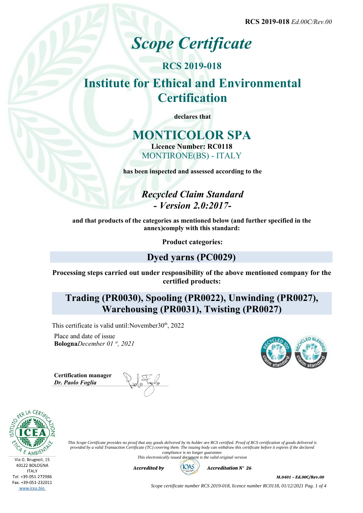**RCS 2019-018** *Ed.00C/Rev.00*

# *Scope Certificate*

## **RCS 2019-018 Institute for Ethical and Environmental Certification**

**declares that**

## **MONTICOLOR SPA**

**Licence Number: RC0118** MONTIRONE(BS) - ITALY

**has been inspected and assessed according to the**

*Recycled Claim Standard - Version 2.0:2017-*

**and that products of the categories as mentioned below (and further specified in the annex)comply with this standard:**

**Product categories:**

## **Dyed yarns (PC0029)**

**Processing steps carried out under responsibility of the above mentioned company for the certified products:**

## **Trading (PR0030), Spooling (PR0022), Unwinding (PR0027), Warehousing (PR0031), Twisting (PR0027)**

This certificate is valid until:November30<sup>th</sup>, 2022

Place and date of issue **Bologna***December 01 st, 2021*

**Certification manager** *Dr. Paolo Foglia*



*This Scope Certificate provides no proof that any goods delivered by its holder are RCS certified. Proof of RCS certification of goods delivered is provided by a valid Transaction Certificate (TC) covering them. The issuing body can withdraw this certificate before it expires if the declared compliance is no longer guarantee. This electronically issued document is the valid original version*

Accredited by  $\left(\left|\right| 0AS\right|$  Accreditation N° 26

M.0401 – Ed.00C/Rev.00

*Scope certificate number RCS 2019-018, licence number RC0118, 01/12/2021 Pag. 1 of 4*

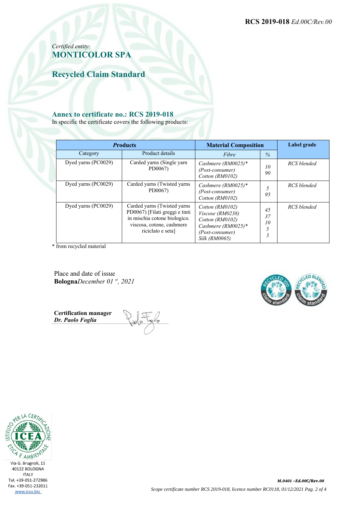**RCS 2019-018** *Ed.00C/Rev.00*

### *Certified entity:* **MONTICOLOR SPA**

**Recycled Claim Standard**

#### **Annex to certificate no.: RCS 2019-018**

In specific the certificate covers the following products:

| <b>Products</b>     |                                                                                                                                                 | <b>Material Composition</b>                                                                                        |                                                | Label grade |
|---------------------|-------------------------------------------------------------------------------------------------------------------------------------------------|--------------------------------------------------------------------------------------------------------------------|------------------------------------------------|-------------|
| Category            | Product details                                                                                                                                 | Fibre                                                                                                              | $\%$                                           |             |
| Dyed yarns (PC0029) | Carded yarns (Single yarn<br>PD0067)                                                                                                            | Cashmere $(RM0025)*$<br>(Post-consumer)<br>Cotton (RM0102)                                                         | 10<br>90                                       | RCS blended |
| Dyed yarns (PC0029) | Carded yarns (Twisted yarns<br>PD0067)                                                                                                          | Cashmere $(RM0025)*$<br>(Post-consumer)<br>Cotton (RM0102)                                                         | 95                                             | RCS blended |
| Dyed yarns (PC0029) | Carded yarns (Twisted yarns<br>PD0067) [Filati greggi e tinti<br>in mischia cotone biologico.<br>viscosa, cotone, cashmere<br>riciclato e seta] | Cotton (RM0102)<br>Viscose (RM0238)<br>Cotton (RM0102)<br>Cashmere $(RM0025)*$<br>(Post-consumer)<br>Silk (RM0065) | 45<br>37<br>10<br>5<br>$\overline{\mathbf{3}}$ | RCS blended |

\* from recycled material

Place and date of issue **Bologna***December 01 st, 2021*



**Certification manager** *Dr. Paolo Foglia*